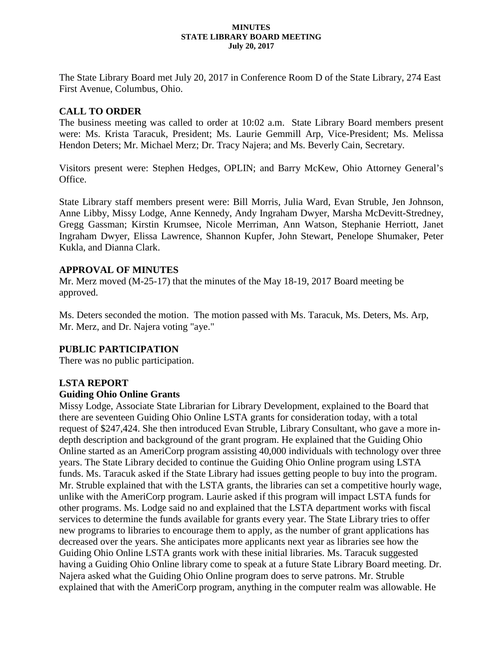#### **MINUTES STATE LIBRARY BOARD MEETING July 20, 2017**

The State Library Board met July 20, 2017 in Conference Room D of the State Library, 274 East First Avenue, Columbus, Ohio.

### **CALL TO ORDER**

The business meeting was called to order at 10:02 a.m. State Library Board members present were: Ms. Krista Taracuk, President; Ms. Laurie Gemmill Arp, Vice-President; Ms. Melissa Hendon Deters; Mr. Michael Merz; Dr. Tracy Najera; and Ms. Beverly Cain, Secretary.

Visitors present were: Stephen Hedges, OPLIN; and Barry McKew, Ohio Attorney General's Office.

State Library staff members present were: Bill Morris, Julia Ward, Evan Struble, Jen Johnson, Anne Libby, Missy Lodge, Anne Kennedy, Andy Ingraham Dwyer, Marsha McDevitt-Stredney, Gregg Gassman; Kirstin Krumsee, Nicole Merriman, Ann Watson, Stephanie Herriott, Janet Ingraham Dwyer, Elissa Lawrence, Shannon Kupfer, John Stewart, Penelope Shumaker, Peter Kukla, and Dianna Clark.

### **APPROVAL OF MINUTES**

Mr. Merz moved (M-25-17) that the minutes of the May 18-19, 2017 Board meeting be approved.

Ms. Deters seconded the motion. The motion passed with Ms. Taracuk, Ms. Deters, Ms. Arp, Mr. Merz, and Dr. Najera voting "aye."

## **PUBLIC PARTICIPATION**

There was no public participation.

## **LSTA REPORT**

### **Guiding Ohio Online Grants**

Missy Lodge, Associate State Librarian for Library Development, explained to the Board that there are seventeen Guiding Ohio Online LSTA grants for consideration today, with a total request of \$247,424. She then introduced Evan Struble, Library Consultant, who gave a more indepth description and background of the grant program. He explained that the Guiding Ohio Online started as an AmeriCorp program assisting 40,000 individuals with technology over three years. The State Library decided to continue the Guiding Ohio Online program using LSTA funds. Ms. Taracuk asked if the State Library had issues getting people to buy into the program. Mr. Struble explained that with the LSTA grants, the libraries can set a competitive hourly wage, unlike with the AmeriCorp program. Laurie asked if this program will impact LSTA funds for other programs. Ms. Lodge said no and explained that the LSTA department works with fiscal services to determine the funds available for grants every year. The State Library tries to offer new programs to libraries to encourage them to apply, as the number of grant applications has decreased over the years. She anticipates more applicants next year as libraries see how the Guiding Ohio Online LSTA grants work with these initial libraries. Ms. Taracuk suggested having a Guiding Ohio Online library come to speak at a future State Library Board meeting. Dr. Najera asked what the Guiding Ohio Online program does to serve patrons. Mr. Struble explained that with the AmeriCorp program, anything in the computer realm was allowable. He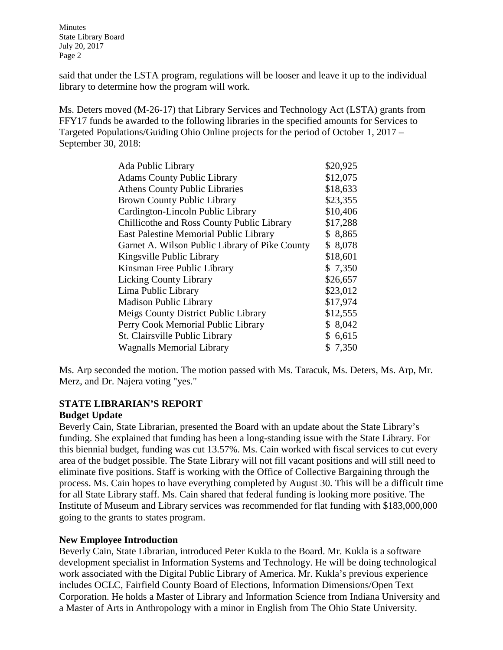said that under the LSTA program, regulations will be looser and leave it up to the individual library to determine how the program will work.

Ms. Deters moved (M-26-17) that Library Services and Technology Act (LSTA) grants from FFY17 funds be awarded to the following libraries in the specified amounts for Services to Targeted Populations/Guiding Ohio Online projects for the period of October 1, 2017 – September 30, 2018:

| \$20,925 |
|----------|
| \$12,075 |
| \$18,633 |
| \$23,355 |
| \$10,406 |
| \$17,288 |
| \$8,865  |
| \$8,078  |
| \$18,601 |
| \$7,350  |
| \$26,657 |
| \$23,012 |
| \$17,974 |
| \$12,555 |
| \$8,042  |
| \$6,615  |
| \$7,350  |
|          |

Ms. Arp seconded the motion. The motion passed with Ms. Taracuk, Ms. Deters, Ms. Arp, Mr. Merz, and Dr. Najera voting "yes."

#### **STATE LIBRARIAN'S REPORT Budget Update**

Beverly Cain, State Librarian, presented the Board with an update about the State Library's funding. She explained that funding has been a long-standing issue with the State Library. For this biennial budget, funding was cut 13.57%. Ms. Cain worked with fiscal services to cut every area of the budget possible. The State Library will not fill vacant positions and will still need to eliminate five positions. Staff is working with the Office of Collective Bargaining through the process. Ms. Cain hopes to have everything completed by August 30. This will be a difficult time for all State Library staff. Ms. Cain shared that federal funding is looking more positive. The Institute of Museum and Library services was recommended for flat funding with \$183,000,000 going to the grants to states program.

## **New Employee Introduction**

Beverly Cain, State Librarian, introduced Peter Kukla to the Board. Mr. Kukla is a software development specialist in Information Systems and Technology. He will be doing technological work associated with the Digital Public Library of America. Mr. Kukla's previous experience includes OCLC, Fairfield County Board of Elections, Information Dimensions/Open Text Corporation. He holds a Master of Library and Information Science from Indiana University and a Master of Arts in Anthropology with a minor in English from The Ohio State University.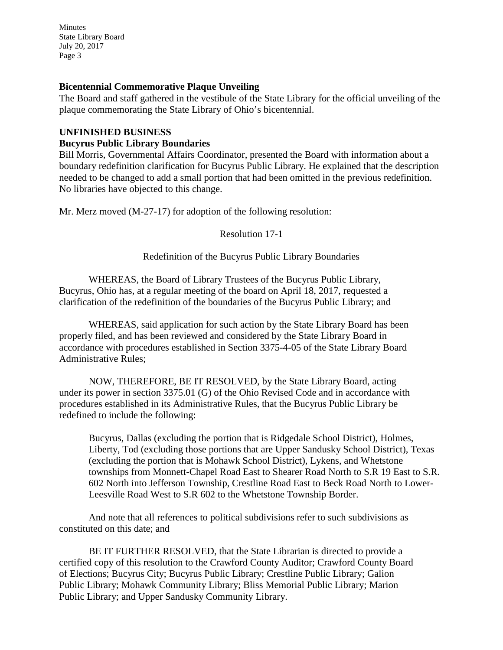#### **Bicentennial Commemorative Plaque Unveiling**

The Board and staff gathered in the vestibule of the State Library for the official unveiling of the plaque commemorating the State Library of Ohio's bicentennial.

#### **UNFINISHED BUSINESS**

#### **Bucyrus Public Library Boundaries**

Bill Morris, Governmental Affairs Coordinator, presented the Board with information about a boundary redefinition clarification for Bucyrus Public Library. He explained that the description needed to be changed to add a small portion that had been omitted in the previous redefinition. No libraries have objected to this change.

Mr. Merz moved (M-27-17) for adoption of the following resolution:

Resolution 17-1

Redefinition of the Bucyrus Public Library Boundaries

WHEREAS, the Board of Library Trustees of the Bucyrus Public Library, Bucyrus, Ohio has, at a regular meeting of the board on April 18, 2017, requested a clarification of the redefinition of the boundaries of the Bucyrus Public Library; and

WHEREAS, said application for such action by the State Library Board has been properly filed, and has been reviewed and considered by the State Library Board in accordance with procedures established in Section 3375-4-05 of the State Library Board Administrative Rules;

NOW, THEREFORE, BE IT RESOLVED, by the State Library Board, acting under its power in section 3375.01 (G) of the Ohio Revised Code and in accordance with procedures established in its Administrative Rules, that the Bucyrus Public Library be redefined to include the following:

Bucyrus, Dallas (excluding the portion that is Ridgedale School District), Holmes, Liberty, Tod (excluding those portions that are Upper Sandusky School District), Texas (excluding the portion that is Mohawk School District), Lykens, and Whetstone townships from Monnett-Chapel Road East to Shearer Road North to S.R 19 East to S.R. 602 North into Jefferson Township, Crestline Road East to Beck Road North to Lower-Leesville Road West to S.R 602 to the Whetstone Township Border.

And note that all references to political subdivisions refer to such subdivisions as constituted on this date; and

BE IT FURTHER RESOLVED, that the State Librarian is directed to provide a certified copy of this resolution to the Crawford County Auditor; Crawford County Board of Elections; Bucyrus City; Bucyrus Public Library; Crestline Public Library; Galion Public Library; Mohawk Community Library; Bliss Memorial Public Library; Marion Public Library; and Upper Sandusky Community Library.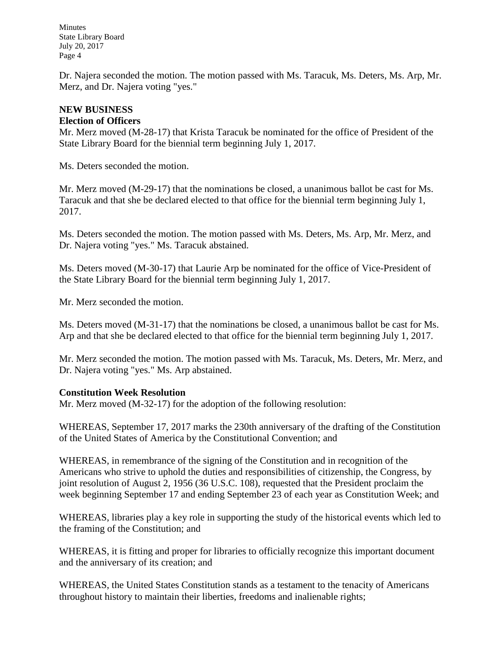Dr. Najera seconded the motion. The motion passed with Ms. Taracuk, Ms. Deters, Ms. Arp, Mr. Merz, and Dr. Najera voting "yes."

### **NEW BUSINESS**

#### **Election of Officers**

Mr. Merz moved (M-28-17) that Krista Taracuk be nominated for the office of President of the State Library Board for the biennial term beginning July 1, 2017.

Ms. Deters seconded the motion.

Mr. Merz moved (M-29-17) that the nominations be closed, a unanimous ballot be cast for Ms. Taracuk and that she be declared elected to that office for the biennial term beginning July 1, 2017.

Ms. Deters seconded the motion. The motion passed with Ms. Deters, Ms. Arp, Mr. Merz, and Dr. Najera voting "yes." Ms. Taracuk abstained.

Ms. Deters moved (M-30-17) that Laurie Arp be nominated for the office of Vice-President of the State Library Board for the biennial term beginning July 1, 2017.

Mr. Merz seconded the motion.

Ms. Deters moved (M-31-17) that the nominations be closed, a unanimous ballot be cast for Ms. Arp and that she be declared elected to that office for the biennial term beginning July 1, 2017.

Mr. Merz seconded the motion. The motion passed with Ms. Taracuk, Ms. Deters, Mr. Merz, and Dr. Najera voting "yes." Ms. Arp abstained.

### **Constitution Week Resolution**

Mr. Merz moved (M-32-17) for the adoption of the following resolution:

WHEREAS, September 17, 2017 marks the 230th anniversary of the drafting of the Constitution of the United States of America by the Constitutional Convention; and

WHEREAS, in remembrance of the signing of the Constitution and in recognition of the Americans who strive to uphold the duties and responsibilities of citizenship, the Congress, by joint resolution of August 2, 1956 (36 U.S.C. 108), requested that the President proclaim the week beginning September 17 and ending September 23 of each year as Constitution Week; and

WHEREAS, libraries play a key role in supporting the study of the historical events which led to the framing of the Constitution; and

WHEREAS, it is fitting and proper for libraries to officially recognize this important document and the anniversary of its creation; and

WHEREAS, the United States Constitution stands as a testament to the tenacity of Americans throughout history to maintain their liberties, freedoms and inalienable rights;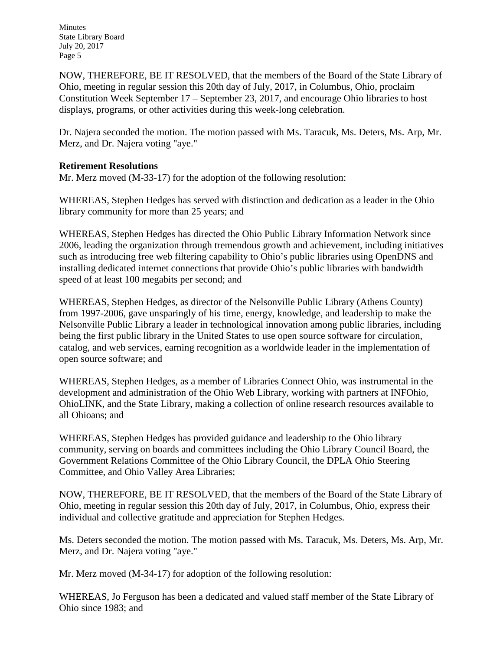NOW, THEREFORE, BE IT RESOLVED, that the members of the Board of the State Library of Ohio, meeting in regular session this 20th day of July, 2017, in Columbus, Ohio, proclaim Constitution Week September 17 – September 23, 2017, and encourage Ohio libraries to host displays, programs, or other activities during this week-long celebration.

Dr. Najera seconded the motion. The motion passed with Ms. Taracuk, Ms. Deters, Ms. Arp, Mr. Merz, and Dr. Najera voting "aye."

## **Retirement Resolutions**

Mr. Merz moved (M-33-17) for the adoption of the following resolution:

WHEREAS, Stephen Hedges has served with distinction and dedication as a leader in the Ohio library community for more than 25 years; and

WHEREAS, Stephen Hedges has directed the Ohio Public Library Information Network since 2006, leading the organization through tremendous growth and achievement, including initiatives such as introducing free web filtering capability to Ohio's public libraries using OpenDNS and installing dedicated internet connections that provide Ohio's public libraries with bandwidth speed of at least 100 megabits per second; and

WHEREAS, Stephen Hedges, as director of the Nelsonville Public Library (Athens County) from 1997-2006, gave unsparingly of his time, energy, knowledge, and leadership to make the Nelsonville Public Library a leader in technological innovation among public libraries, including being the first public library in the United States to use open source software for circulation, catalog, and web services, earning recognition as a worldwide leader in the implementation of open source software; and

WHEREAS, Stephen Hedges, as a member of Libraries Connect Ohio, was instrumental in the development and administration of the Ohio Web Library, working with partners at INFOhio, OhioLINK, and the State Library, making a collection of online research resources available to all Ohioans; and

WHEREAS, Stephen Hedges has provided guidance and leadership to the Ohio library community, serving on boards and committees including the Ohio Library Council Board, the Government Relations Committee of the Ohio Library Council, the DPLA Ohio Steering Committee, and Ohio Valley Area Libraries;

NOW, THEREFORE, BE IT RESOLVED, that the members of the Board of the State Library of Ohio, meeting in regular session this 20th day of July, 2017, in Columbus, Ohio, express their individual and collective gratitude and appreciation for Stephen Hedges.

Ms. Deters seconded the motion. The motion passed with Ms. Taracuk, Ms. Deters, Ms. Arp, Mr. Merz, and Dr. Najera voting "aye."

Mr. Merz moved (M-34-17) for adoption of the following resolution:

WHEREAS, Jo Ferguson has been a dedicated and valued staff member of the State Library of Ohio since 1983; and